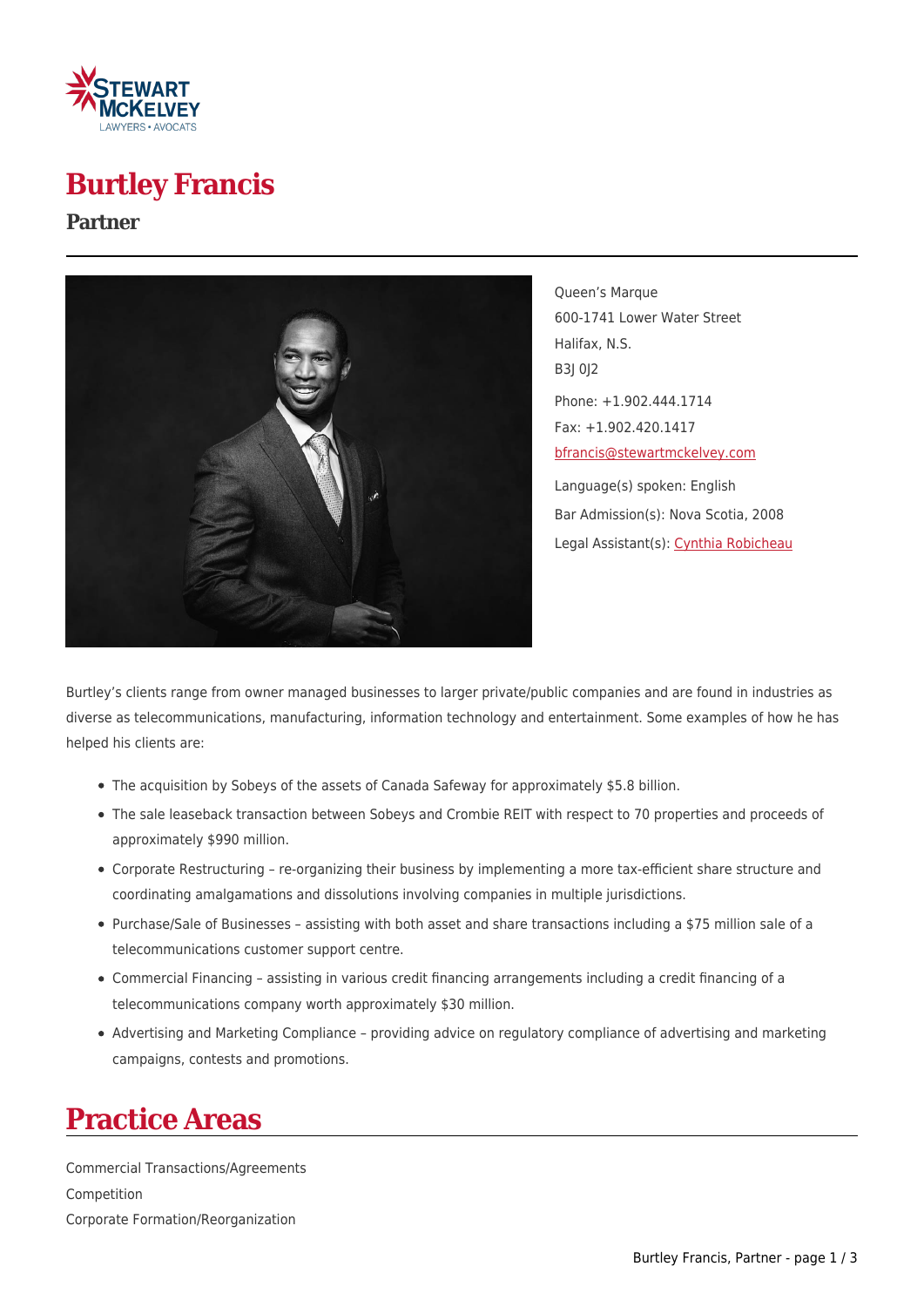

# **Burtley Francis**

#### **Partner**



Queen's Marque 600-1741 Lower Water Street Halifax, N.S. B3J 0J2 Phone: +1.902.444.1714 Fax: +1.902.420.1417 [bfrancis@stewartmckelvey.com](mailto:bfrancis@stewartmckelvey.com) Language(s) spoken: English Bar Admission(s): Nova Scotia, 2008 Legal Assistant(s): [Cynthia Robicheau](https://www.stewartmckelvey.com/legal_assistant/robicheau-cynthia)

Burtley's clients range from owner managed businesses to larger private/public companies and are found in industries as diverse as telecommunications, manufacturing, information technology and entertainment. Some examples of how he has helped his clients are:

- The acquisition by Sobeys of the assets of Canada Safeway for approximately \$5.8 billion.
- The sale leaseback transaction between Sobeys and Crombie REIT with respect to 70 properties and proceeds of approximately \$990 million.
- Corporate Restructuring re-organizing their business by implementing a more tax-efficient share structure and coordinating amalgamations and dissolutions involving companies in multiple jurisdictions.
- Purchase/Sale of Businesses assisting with both asset and share transactions including a \$75 million sale of a telecommunications customer support centre.
- Commercial Financing assisting in various credit financing arrangements including a credit financing of a telecommunications company worth approximately \$30 million.
- Advertising and Marketing Compliance providing advice on regulatory compliance of advertising and marketing campaigns, contests and promotions.

### **Practice Areas**

Commercial Transactions/Agreements Competition Corporate Formation/Reorganization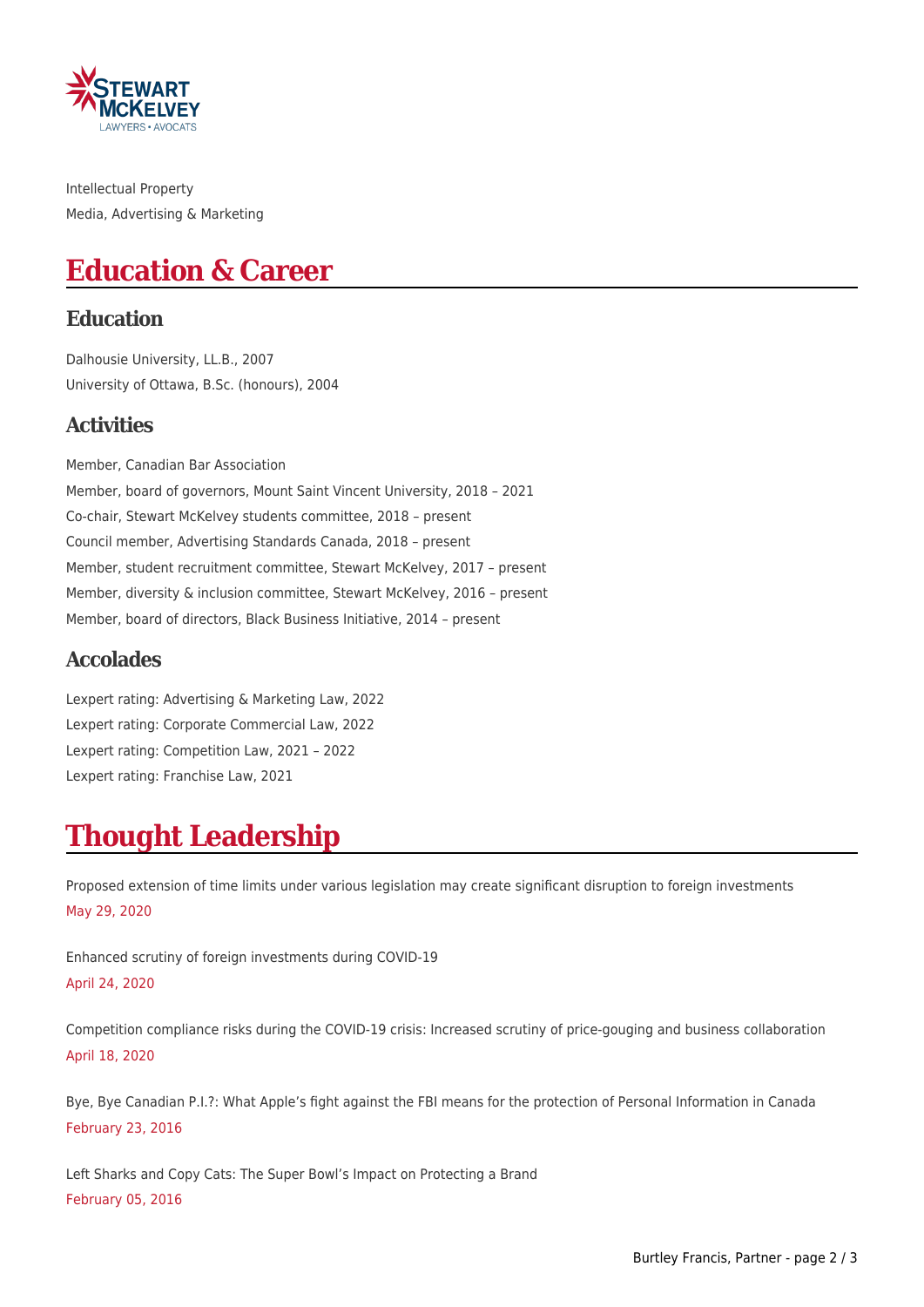

Intellectual Property Media, Advertising & Marketing

# **Education & Career**

#### **Education**

Dalhousie University, LL.B., 2007 University of Ottawa, B.Sc. (honours), 2004

#### **Activities**

Member, Canadian Bar Association Member, board of governors, Mount Saint Vincent University, 2018 – 2021 Co-chair, Stewart McKelvey students committee, 2018 – present Council member, Advertising Standards Canada, 2018 – present Member, student recruitment committee, Stewart McKelvey, 2017 – present Member, diversity & inclusion committee, Stewart McKelvey, 2016 – present Member, board of directors, Black Business Initiative, 2014 – present

#### **Accolades**

Lexpert rating: Advertising & Marketing Law, 2022 Lexpert rating: Corporate Commercial Law, 2022 Lexpert rating: Competition Law, 2021 – 2022 Lexpert rating: Franchise Law, 2021

# **Thought Leadership**

Proposed extension of time limits under various legislation may create significant disruption to foreign investments May 29, 2020

Enhanced scrutiny of foreign investments during COVID-19 April 24, 2020

Competition compliance risks during the COVID-19 crisis: Increased scrutiny of price-gouging and business collaboration April 18, 2020

Bye, Bye Canadian P.I.?: What Apple's fight against the FBI means for the protection of Personal Information in Canada February 23, 2016

Left Sharks and Copy Cats: The Super Bowl's Impact on Protecting a Brand February 05, 2016